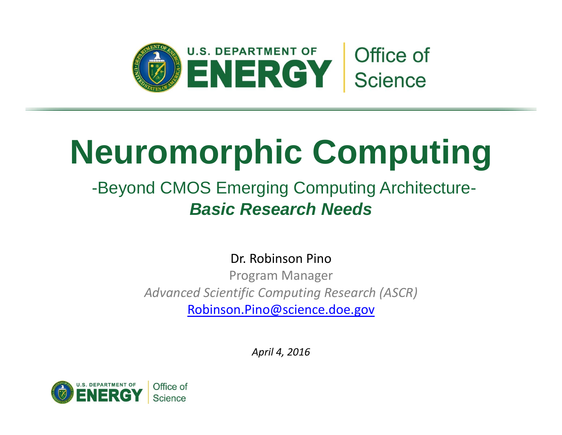

# **Neuromorphic Computing**

#### -Beyond CMOS Emerging Computing Architecture-*Basic Research Needs*

Dr. Robinson Pino

Program Manager *Advanced Scientific Computing Research (ASCR)* [Robinson.Pino@science.doe.gov](mailto:Robinson.Pino@science.doe.gov)

*April 4, 2016*

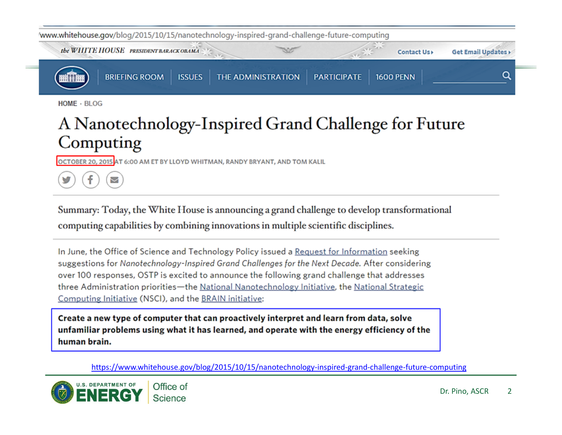

HOME · BLOG

#### A Nanotechnology-Inspired Grand Challenge for Future Computing

OCTOBER 20, 2015 AT 6:00 AM ET BY LLOYD WHITMAN, RANDY BRYANT, AND TOM KALIL

Ζ

Summary: Today, the White House is announcing a grand challenge to develop transformational computing capabilities by combining innovations in multiple scientific disciplines.

In June, the Office of Science and Technology Policy issued a Request for Information seeking suggestions for Nanotechnology-Inspired Grand Challenges for the Next Decade. After considering over 100 responses, OSTP is excited to announce the following grand challenge that addresses three Administration priorities-the National Nanotechnology Initiative, the National Strategic Computing Initiative (NSCI), and the BRAIN initiative:

Create a new type of computer that can proactively interpret and learn from data, solve unfamiliar problems using what it has learned, and operate with the energy efficiency of the human brain.

https://www.whitehouse.gov/blog/2015/10/15/nanotechnology‐inspired‐grand‐challenge‐future‐computing

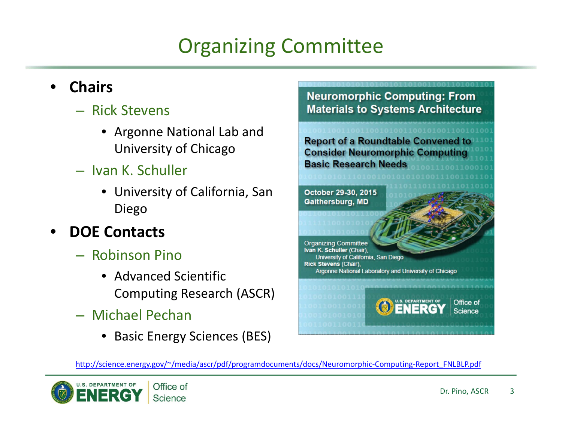## Organizing Committee

#### • **Chairs**

- Rick Stevens
	- Argonne National Lab and University of Chicago
- Ivan K. Schuller
	- University of California, San Diego

#### • **DOE Contacts**

- Robinson Pino
	- Advanced Scientific Computing Research (ASCR)
- Michael Pechan
	- Basic Energy Sciences (BES)



Ivan K. Schuller (Chair). University of California, San Diego Rick Stevens (Chair). Argonne National Laboratory and University of Chicago DEPARTMENT OF Office of **Science** 

http://science.energy.gov/~/media/ascr/pdf/programdocuments/docs/Neuromorphic-Computing-Report\_FNLBLP.pdf

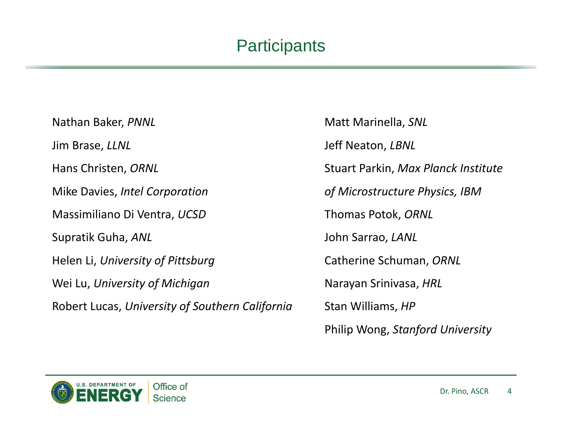#### **Participants**

Nathan Baker, PNNL Jim Brase, LLNL Hans Christen, ORNL **Mike Davies, Intel Corporation** Massimiliano Di Ventra, UCSD Supratik Guha, *ANL* John Sarrao, *LANL* Helen Li, *University of Pittsburg* Catherine Schuman, *ORNL* Wei Lu, *University of Michigan* Narayan Srinivasa, *HRL* Robert Lucas, *University of Southern California* Stan Williams, *HP*

**Matt Marinella, SNL Jeff Neaton,** *LBNL*  Christen, *ORNL* Stuart Parkin, *Max Planck Institute*  $of$  *Microstructure Physics, IBM* **Thomas Potok, ORNL** Philip Wong, *Stanford University*

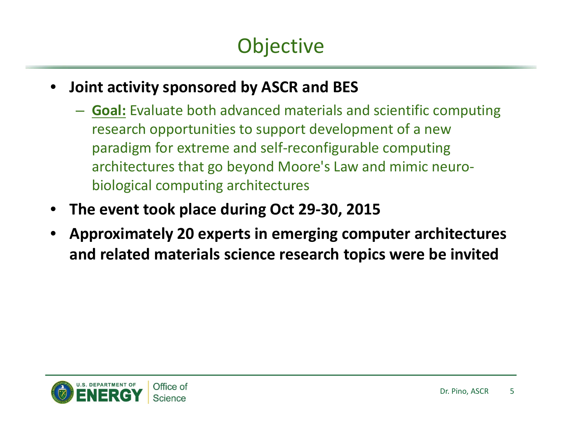- **Joint activity sponsored by ASCR and BES**
	- **Goal:** Evaluate both advanced materials and scientific computing research opportunities to support development of <sup>a</sup> new paradigm for extreme and self‐reconfigurable computing architectures that go beyond Moore's Law and mimic neuro‐ biological computing architectures
- **The event took place during Oct 29‐30, 2015**
- **Approximately 20 experts in emerging computer architectures and related materials science research topics were be invited**

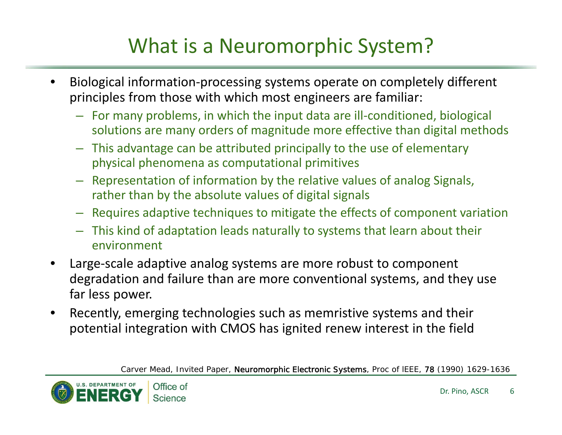## What is a Neuromorphic System?

- Biological information‐processing systems operate on completely different principles from those with which most engineers are familiar:
	- For many problems, in which the input data are ill‐conditioned, biological solutions are many orders of magnitude more effective than digital methods
	- This advantage can be attributed principally to the use of elementary physical phenomena as computational primitives
	- Representation of information by the relative values of analog Signals, rather than by the absolute values of digital signals
	- Requires adaptive techniques to mitigate the effects of component variation
	- This kind of adaptation leads naturally to systems that learn about their environment
- Large‐scale adaptive analog systems are more robust to component degradation and failure than are more conventional systems, and they use far less power.
- Recently, emerging technologies such as memristive systems and their potential integration with CMOS has ignited renew interest in the field

*Carver Mead, Invited Paper, Neuromorphic Electronic Systems, Proc of lEEE, 78 (1990) 1629-1636* 



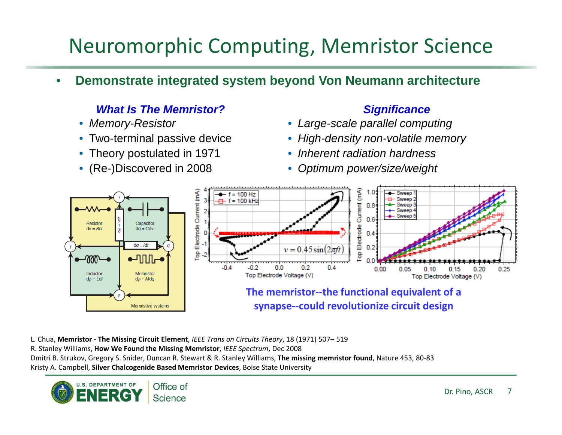## Neuromorphic Computing, Memristor Science

• **Demonstrate integrated system beyond Von Neumann architecture** 

#### *What Is The Memristor?* And *Significance* **Significance Significance**

- 
- 
- 
- 

- *Memory-Resistor Large-scale parallel computing*
- Two-terminal passive device *High-density non-volatile memory*
- Theory postulated in 1971 *Inherent radiation hardness*
- (Re-)Discovered in 2008 *Optimum power/size/weight*



L. Chua, **Memristor ‐ The Missing Circuit Element**, *IEEE Trans on Circuits Theory*, 18 (1971) 507– 519 R. Stanley Williams, **How We Found the Missing Memristor**, *IEEE Spectrum*, Dec 2008 Dmitri B. Strukov, Gregory S. Snider, Duncan R. Stewart & R. Stanley Williams, **The missing memristor found**, Nature 453, 80‐83 Kristy A. Campbell, **Silver Chalcogenide Based Memristor Devices**, Boise State University

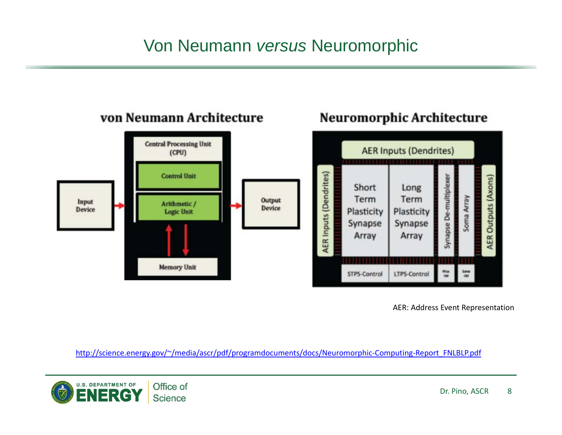#### Von Neumann *versus* Neuromorphic



#### von Neumann Architecture

AER: Address Event Representation

Neuromorphic Architecture

http://science.energy.gov/~/media/ascr/pdf/programdocuments/docs/Neuromorphic-Computing-Report\_FNLBLP.pdf

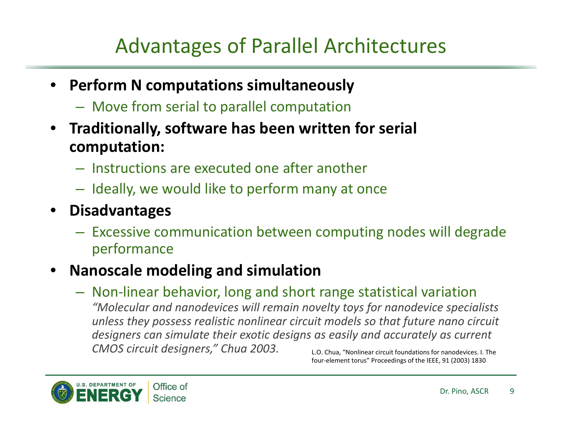## Advantages of Parallel Architectures

- **Perform N computations simultaneously**
	- Move from serial to parallel computation
- **Traditionally, software has been written for serial computation:**
	- Instructions are executed one after another
	- Ideally, we would like to perform many at once
- **Disadvantages**
	- Excessive communication between computing nodes will degrade performance

#### • **Nanoscale modeling and simulation**

– Non‐linear behavior, long and short range statistical variation *"Molecular and nanodevices will remain novelty toys for nanodevice specialists unless they possess realistic nonlinear circuit models so that future nano circuit designers can simulate their exotic designs as easily and accurately as current CMOS circuit designers," Chua 2003.* L.O. Chua, "Nonlinear circuit foundations for nanodevices. I. The

four‐element torus" Proceedings of the IEEE, 91 (2003) 1830

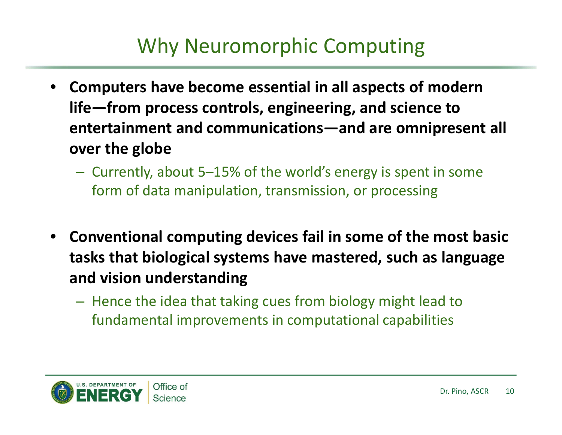## Why Neuromorphic Computing

- **Computers have become essential in all aspects of modern life—from process controls, engineering, and science to entertainment and communications—and are omnipresent all over the globe**
	- Currently, about 5–15% of the world's energy is spent in some form of data manipulation, transmission, or processing
- **Conventional computing devices fail in some of the most basic tasks that biological systems have mastered, such as language and vision understanding**
	- Hence the idea that taking cues from biology might lead to fundamental improvements in computational capabilities

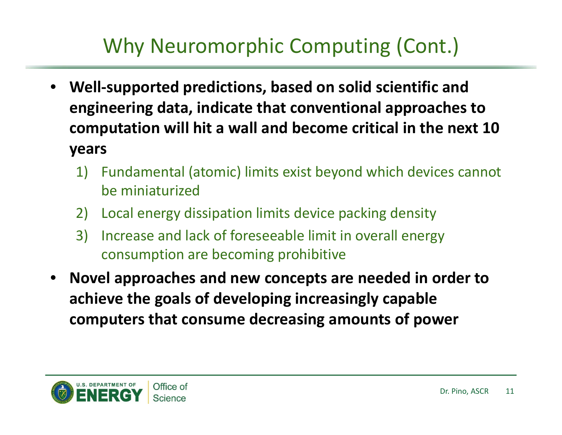## Why Neuromorphic Computing (Cont.)

- **Well‐supported predictions, based on solid scientific and engineering data, indicate that conventional approaches to computation will hit <sup>a</sup> wall and become critical in the next 10 years**
	- 1) Fundamental (atomic) limits exist beyond which devices cannot be miniaturized
	- 2) Local energy dissipation limits device packing density
	- 3) Increase and lack of foreseeable limit in overall energy consumption are becoming prohibitive
- **Novel approaches and new concepts are needed in order to achieve the goals of developing increasingly capable computers that consume decreasing amounts of power**

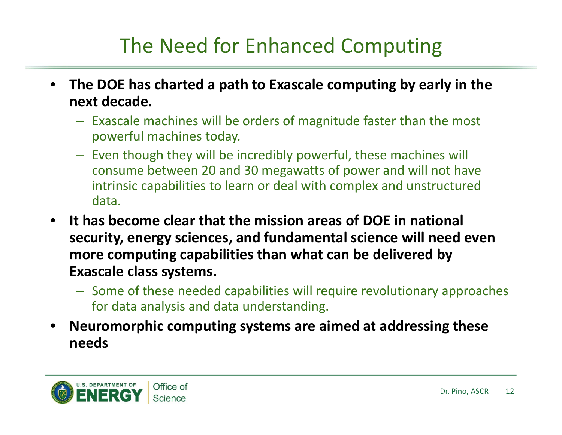## The Need for Enhanced Computing

- **The DOE has charted <sup>a</sup> path to Exascale computing by early in the next decade.**
	- Exascale machines will be orders of magnitude faster than the most powerful machines today.
	- Even though they will be incredibly powerful, these machines will consume between 20 and 30 megawatts of power and will not have intrinsic capabilities to learn or deal with complex and unstructured data.
- **It has become clear that the mission areas of DOE in national security, energy sciences, and fundamental science will need even more computing capabilities than what can be delivered by Exascale class systems.**
	- Some of these needed capabilities will require revolutionary approaches for data analysis and data understanding.
- **Neuromorphic computing systems are aimed at addressing these needs**

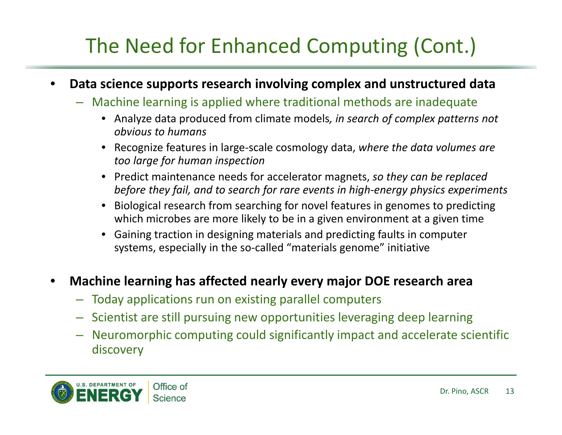## The Need for Enhanced Computing (Cont.)

- **Data science supports research involving complex and unstructured data**
	- Machine learning is applied where traditional methods are inadequate
		- Analyze data produced from climate models*, in search of complex patterns not obvious to humans*
		- Recognize features in large‐scale cosmology data, *where the data volumes are too large for human inspection*
		- Predict maintenance needs for accelerator magnets, *so they can be replaced before they fail, and to search for rare events in high‐energy physics experiments*
		- Biological research from searching for novel features in genomes to predicting which microbes are more likely to be in <sup>a</sup> given environment at <sup>a</sup> given time
		- Gaining traction in designing materials and predicting faults in computer systems, especially in the so-called "materials genome" initiative

#### • **Machine learning has affected nearly every major DOE research area**

- Today applications run on existing parallel computers
- Scientist are still pursuing new opportunities leveraging deep learning
- Neuromorphic computing could significantly impact and accelerate scientific discovery

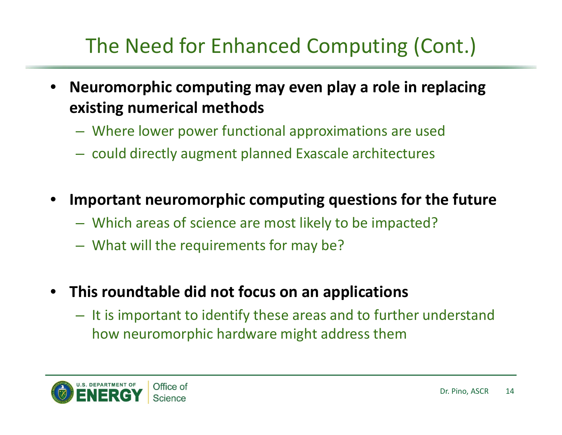## The Need for Enhanced Computing (Cont.)

- **Neuromorphic computing may even play <sup>a</sup> role in replacing existing numerical methods**
	- Where lower power functional approximations are used
	- could directly augment planned Exascale architectures
- **Important neuromorphic computing questions for the future**
	- Which areas of science are most likely to be impacted?
	- What will the requirements for may be?
- **This roundtable did not focus on an applications**
	- It is important to identify these areas and to further understand how neuromorphic hardware might address them

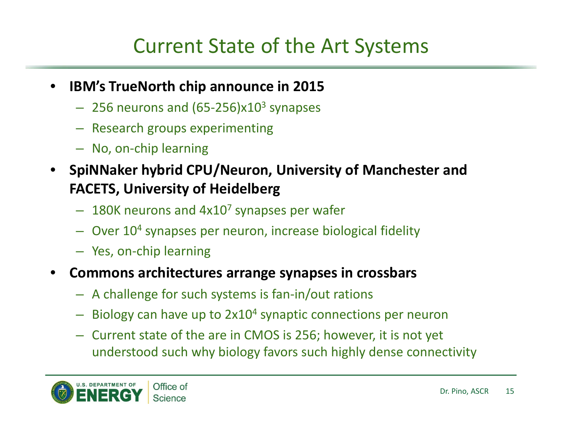## Current State of the Art Systems

- **IBM's TrueNorth chip announce in 2015**
	- $-$  256 neurons and (65-256)x10<sup>3</sup> synapses
	- Research groups experimenting
	- No, on‐chip learning
- **SpiNNaker hybrid CPU/Neuron, University of Manchester and FACETS, University of Heidelberg**
	- $-$  180K neurons and 4x10<sup>7</sup> synapses per wafer
	- $-$  Over 10<sup>4</sup> synapses per neuron, increase biological fidelity
	- Yes, on‐chip learning
- **Commons architectures arrange synapses in crossbars**
	- A challenge for such systems is fan‐in/out rations
	- $-$  Biology can have up to  $2x10<sup>4</sup>$  synaptic connections per neuron
	- Current state of the are in CMOS is 256; however, it is not yet understood such why biology favors such highly dense connectivity

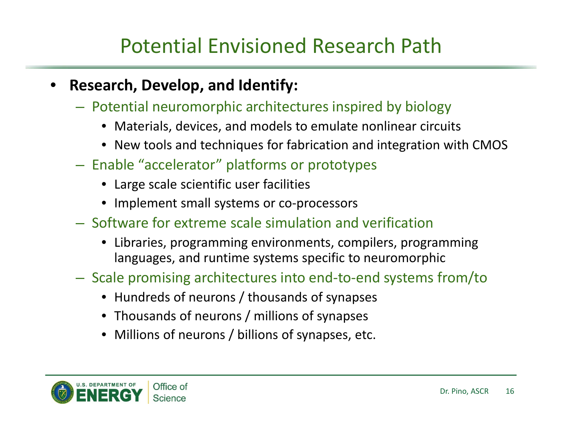## Potential Envisioned Research Path

- **Research, Develop, and Identify:**
	- Potential neuromorphic architectures inspired by biology
		- Materials, devices, and models to emulate nonlinear circuits
		- New tools and techniques for fabrication and integration with CMOS
	- Enable "accelerator" platforms or prototypes
		- Large scale scientific user facilities
		- Implement small systems or co-processors
	- Software for extreme scale simulation and verification
		- Libraries, programming environments, compilers, programming languages, and runtime systems specific to neuromorphic
	- Scale promising architectures into end‐to‐end systems from/to
		- Hundreds of neurons / thousands of synapses
		- Thousands of neurons / millions of synapses
		- Millions of neurons / billions of synapses, etc.

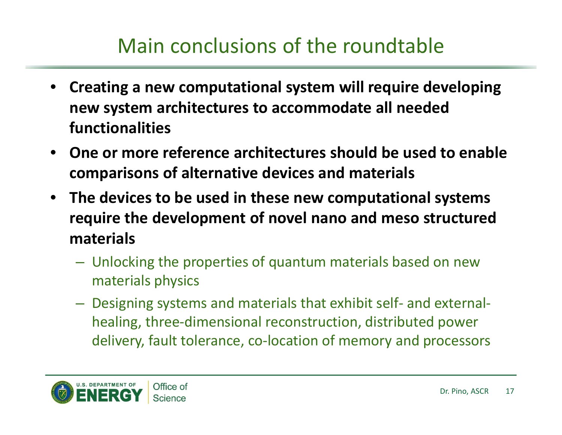## Main conclusions of the roundtable

- **Creating <sup>a</sup> new computational system will require developing new system architectures to accommodate all needed functionalities**
- **One or more reference architectures should be used to enable comparisons of alternative devices and materials**
- **The devices to be used in these new computational systems require the development of novel nano and meso structured materials**
	- Unlocking the properties of quantum materials based on new materials physics
	- Designing systems and materials that exhibit self‐ and external‐ healing, three‐dimensional reconstruction, distributed power delivery, fault tolerance, co‐location of memory and processors

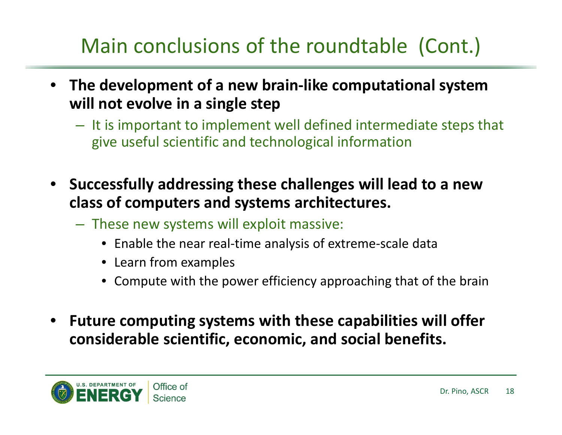## Main conclusions of the roundtable (Cont.)

- **The development of <sup>a</sup> new brain‐like computational system will not evolve in <sup>a</sup> single step**
	- It is important to implement well defined intermediate steps that give useful scientific and technological information
- **Successfully addressing these challenges will lead to <sup>a</sup> new class of computers and systems architectures.**
	- These new systems will exploit massive:
		- Enable the near real‐time analysis of extreme‐scale data
		- Learn from examples
		- Compute with the power efficiency approaching that of the brain
- **Future computing systems with these capabilities will offer considerable scientific, economic, and social benefits.**

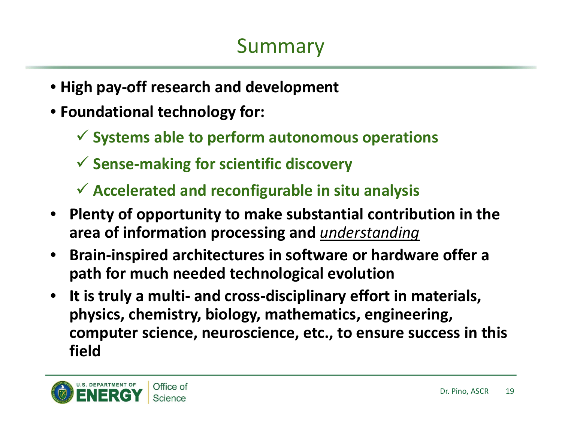- **High pay‐off research and development**
- **Foundational technology for:**
	- **Systems able to perform autonomous operations**
	- **Sense‐making for scientific discovery**
	- **Accelerated and reconfigurable in situ analysis**
- **Plenty of opportunity to make substantial contribution in the area of information processing and** *understanding*
- **Brain‐inspired architectures in software or hardware offer <sup>a</sup> path for much needed technological evolution**
- **It is truly <sup>a</sup> multi‐ and cross‐disciplinary effort in materials, physics, chemistry, biology, mathematics, engineering, computer science, neuroscience, etc., to ensure success in this field**